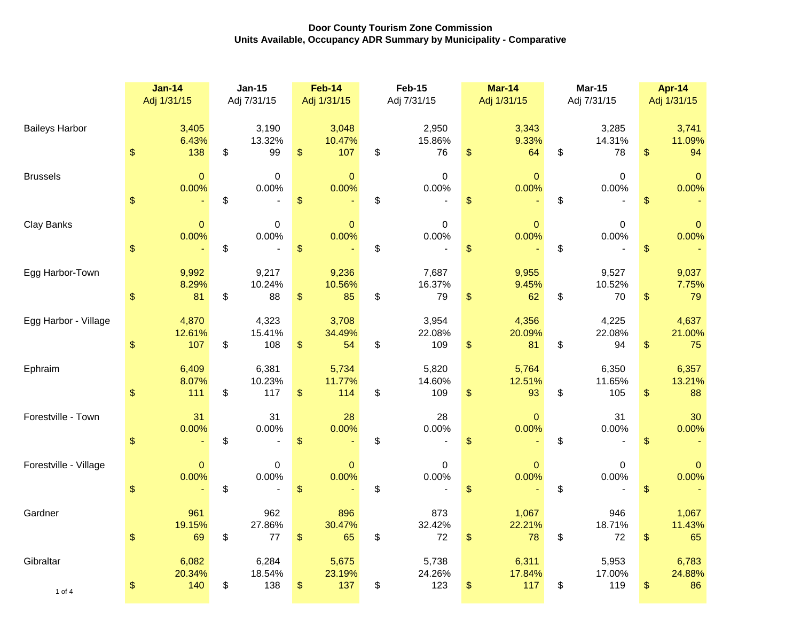|                       | $Jan-14$<br>Adj 1/31/15 |                        | $Jan-15$<br>Adj 7/31/15 |                        | <b>Feb-14</b><br>Adj 1/31/15 |                        | <b>Feb-15</b><br>Adj 7/31/15 |                        |                           | <b>Mar-14</b><br>Adj 1/31/15 | <b>Mar-15</b><br>Adj 7/31/15 |                        |                                                   | <b>Apr-14</b><br>Adj 1/31/15 |  |
|-----------------------|-------------------------|------------------------|-------------------------|------------------------|------------------------------|------------------------|------------------------------|------------------------|---------------------------|------------------------------|------------------------------|------------------------|---------------------------------------------------|------------------------------|--|
| <b>Baileys Harbor</b> | $\,$                    | 3,405<br>6.43%<br>138  | \$                      | 3,190<br>13.32%<br>99  | $\frac{1}{2}$                | 3,048<br>10.47%<br>107 | \$                           | 2,950<br>15.86%<br>76  | \$                        | 3,343<br>9.33%<br>64         | \$                           | 3,285<br>14.31%<br>78  | \$                                                | 3,741<br>11.09%<br>94        |  |
| <b>Brussels</b>       | $\frac{1}{2}$           | $\mathbf{0}$<br>0.00%  | \$                      | $\mathbf 0$<br>0.00%   | $\mathsf{\$}$                | $\mathbf{0}$<br>0.00%  | \$                           | $\mathbf 0$<br>0.00%   | $\mathfrak{s}$            | $\mathbf{0}$<br>0.00%        | \$                           | $\mathbf 0$<br>0.00%   | $\frac{1}{2}$                                     | $\Omega$<br>0.00%            |  |
| Clay Banks            | $\$\$                   | $\mathbf 0$<br>0.00%   | \$                      | 0<br>0.00%             | $\frac{1}{2}$                | $\mathbf 0$<br>0.00%   | \$                           | 0<br>0.00%             | \$                        | 0<br>0.00%                   | \$                           | 0<br>0.00%             | $\boldsymbol{\$}$                                 | $\mathbf{0}$<br>0.00%        |  |
| Egg Harbor-Town       | $\frac{1}{2}$           | 9,992<br>8.29%<br>81   | \$                      | 9,217<br>10.24%<br>88  | $\frac{1}{2}$                | 9,236<br>10.56%<br>85  | \$                           | 7,687<br>16.37%<br>79  | \$                        | 9,955<br>9.45%<br>62         | \$                           | 9,527<br>10.52%<br>70  | \$                                                | 9,037<br>7.75%<br>79         |  |
| Egg Harbor - Village  | \$                      | 4,870<br>12.61%<br>107 | \$                      | 4,323<br>15.41%<br>108 | $\frac{1}{2}$                | 3,708<br>34.49%<br>54  | \$                           | 3,954<br>22.08%<br>109 | \$                        | 4,356<br>20.09%<br>81        | \$                           | 4,225<br>22.08%<br>94  | \$                                                | 4,637<br>21.00%<br>75        |  |
| Ephraim               | $\,$                    | 6,409<br>8.07%<br>111  | \$                      | 6,381<br>10.23%<br>117 | $\$\$                        | 5,734<br>11.77%<br>114 | \$                           | 5,820<br>14.60%<br>109 | $\boldsymbol{\mathsf{S}}$ | 5,764<br>12.51%<br>93        | \$                           | 6,350<br>11.65%<br>105 | \$                                                | 6,357<br>13.21%<br>88        |  |
| Forestville - Town    | $\frac{1}{2}$           | 31<br>0.00%            | \$                      | 31<br>0.00%            | \$                           | 28<br>0.00%            | \$                           | 28<br>0.00%            | \$                        | 0<br>0.00%                   | \$                           | 31<br>0.00%            | \$                                                | 30<br>0.00%                  |  |
| Forestville - Village | $\$\$                   | $\mathbf{0}$<br>0.00%  | \$                      | 0<br>0.00%             | $\frac{1}{2}$                | $\Omega$<br>0.00%      | \$                           | 0<br>0.00%             | \$                        | $\Omega$<br>0.00%            | \$                           | 0<br>0.00%             | $\boldsymbol{\$}$                                 | $\Omega$<br>0.00%            |  |
| Gardner               | $\frac{1}{2}$           | 961<br>19.15%<br>69    | \$                      | 962<br>27.86%<br>77    | \$                           | 896<br>30.47%<br>65    | \$                           | 873<br>32.42%<br>72    | \$                        | 1,067<br>22.21%<br>78        | \$                           | 946<br>18.71%<br>72    | $\, \, \raisebox{-1.5pt}{\text{\circle*{1.5}}}\,$ | 1,067<br>11.43%<br>65        |  |
| Gibraltar<br>1 of 4   | $\,$                    | 6,082<br>20.34%<br>140 | \$                      | 6,284<br>18.54%<br>138 | $\$\$                        | 5,675<br>23.19%<br>137 | \$                           | 5,738<br>24.26%<br>123 | \$                        | 6,311<br>17.84%<br>117       | \$                           | 5,953<br>17.00%<br>119 | \$                                                | 6,783<br>24.88%<br>86        |  |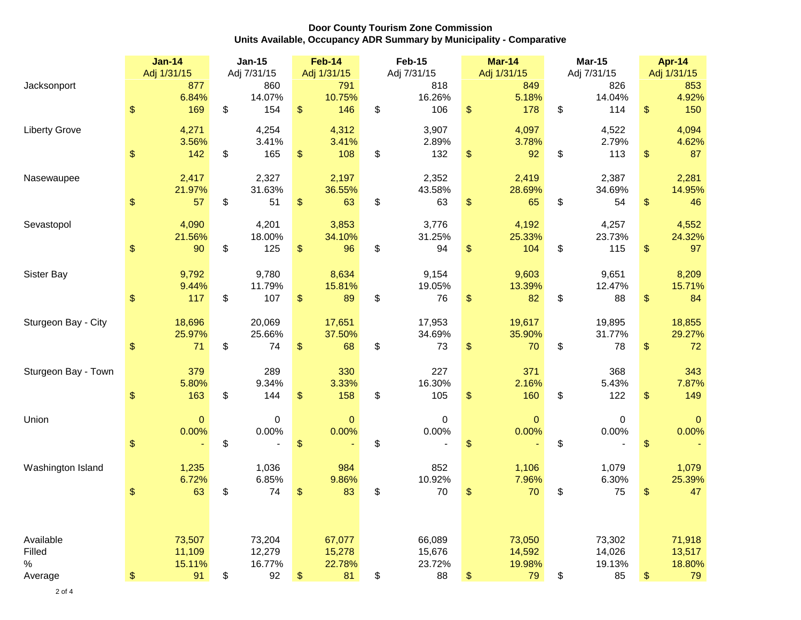|                      | <b>Jan-14</b>      | <b>Jan-15</b> |               | <b>Feb-14</b> |               | <b>Feb-15</b> |               |               | $Mar-14$     | <b>Mar-15</b>       | <b>Apr-14</b> |                 |  |
|----------------------|--------------------|---------------|---------------|---------------|---------------|---------------|---------------|---------------|--------------|---------------------|---------------|-----------------|--|
|                      | Adj 1/31/15        |               | Adj 7/31/15   |               | Adj 1/31/15   |               | Adj 7/31/15   |               | Adj 1/31/15  | Adj 7/31/15         |               | Adj 1/31/15     |  |
| Jacksonport          | 877                |               | 860           |               | 791           |               | 818           |               | 849          | 826                 |               | 853             |  |
|                      | \$<br>6.84%<br>169 | \$            | 14.07%<br>154 | $\frac{1}{2}$ | 10.75%<br>146 | \$            | 16.26%<br>106 | $\mathsf{\$}$ | 5.18%<br>178 | \$<br>14.04%<br>114 | \$            | 4.92%<br>150    |  |
|                      |                    |               |               |               |               |               |               |               |              |                     |               |                 |  |
| <b>Liberty Grove</b> | 4,271              |               | 4,254         |               | 4,312         |               | 3,907         |               | 4,097        | 4,522               |               | 4,094           |  |
|                      | 3.56%              |               | 3.41%         |               | 3.41%         | \$            | 2.89%         | $\mathsf{\$}$ | 3.78%<br>92  | 2.79%<br>113        |               | 4.62%<br>87     |  |
|                      | \$<br>142          | \$            | 165           | \$            | 108           |               | 132           |               |              | \$                  | \$            |                 |  |
| Nasewaupee           | 2,417              |               | 2,327         |               | 2,197         |               | 2,352         |               | 2,419        | 2,387               |               | 2,281           |  |
|                      | 21.97%             |               | 31.63%        |               | 36.55%        |               | 43.58%        |               | 28.69%       | 34.69%              |               | 14.95%          |  |
|                      | \$<br>57           | \$            | 51            | \$            | 63            | \$            | 63            | \$            | 65           | \$<br>54            | \$            | 46              |  |
|                      | 4,090              |               | 4,201         |               | 3,853         |               | 3,776         |               | 4,192        | 4,257               |               |                 |  |
| Sevastopol           | 21.56%             |               | 18.00%        |               | 34.10%        |               | 31.25%        |               | 25.33%       | 23.73%              |               | 4,552<br>24.32% |  |
|                      | \$<br>90           | \$            | 125           | \$            | 96            | \$            | 94            | \$            | 104          | \$<br>115           | \$            | 97              |  |
|                      |                    |               |               |               |               |               |               |               |              |                     |               |                 |  |
| Sister Bay           | 9,792              |               | 9,780         |               | 8,634         |               | 9,154         |               | 9,603        | 9,651               |               | 8,209           |  |
|                      | 9.44%              |               | 11.79%        |               | 15.81%        |               | 19.05%        |               | 13.39%       | 12.47%              |               | 15.71%          |  |
|                      | \$<br>117          | \$            | 107           | \$            | 89            | \$            | 76            | \$            | 82           | \$<br>88            | \$            | 84              |  |
| Sturgeon Bay - City  | 18,696             |               | 20,069        |               | 17,651        |               | 17,953        |               | 19,617       | 19,895              |               | 18,855          |  |
|                      | 25.97%             |               | 25.66%        |               | 37.50%        |               | 34.69%        |               | 35.90%       | 31.77%              |               | 29.27%          |  |
|                      | \$<br>71           | \$            | 74            | \$            | 68            | \$            | 73            | \$            | 70           | \$<br>78            | \$            | 72              |  |
|                      |                    |               |               |               |               |               |               |               |              |                     |               |                 |  |
| Sturgeon Bay - Town  | 379                |               | 289           |               | 330           |               | 227           |               | 371          | 368                 |               | 343             |  |
|                      | 5.80%              |               | 9.34%         |               | 3.33%         |               | 16.30%        |               | 2.16%        | 5.43%               |               | 7.87%           |  |
|                      | \$<br>163          | \$            | 144           | \$            | 158           | \$            | 105           | \$            | 160          | \$<br>122           | \$            | 149             |  |
| Union                | $\mathbf 0$        |               | 0             |               | $\mathbf{0}$  |               | 0             |               | 0            | 0                   |               | 0               |  |
|                      | 0.00%              |               | 0.00%         |               | 0.00%         |               | 0.00%         |               | 0.00%        | 0.00%               |               | 0.00%           |  |
|                      | \$                 | \$            |               | \$            |               | \$            |               | \$            |              | \$                  | \$            |                 |  |
|                      |                    |               |               |               |               |               |               |               |              |                     |               |                 |  |
| Washington Island    | 1,235              |               | 1,036         |               | 984           |               | 852           |               | 1,106        | 1,079               |               | 1,079           |  |
|                      | 6.72%              |               | 6.85%         |               | 9.86%         |               | 10.92%<br>70  |               | 7.96%        | 6.30%               |               | 25.39%          |  |
|                      | \$<br>63           | \$            | 74            | \$            | 83            | \$            |               | \$            | 70           | \$<br>75            | \$            | 47              |  |
|                      |                    |               |               |               |               |               |               |               |              |                     |               |                 |  |
|                      |                    |               |               |               |               |               |               |               |              |                     |               |                 |  |
| Available            | 73,507             |               | 73,204        |               | 67,077        |               | 66,089        |               | 73,050       | 73,302              |               | 71,918          |  |
| Filled               | 11,109             |               | 12,279        |               | 15,278        |               | 15,676        |               | 14,592       | 14,026              |               | 13,517          |  |
| $\%$                 | 15.11%             |               | 16.77%        |               | 22.78%        |               | 23.72%        |               | 19.98%       | 19.13%              |               | 18.80%          |  |
| Average              | \$<br>91           | \$            | 92            | \$            | 81            | \$            | 88            | \$            | 79           | \$<br>85            | \$            | 79              |  |

2 of 4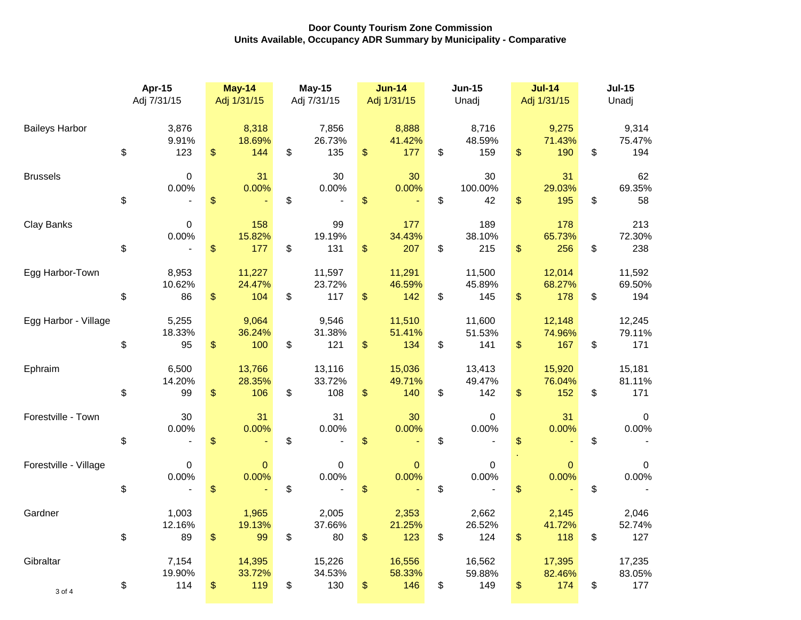|                       | Apr-15<br>Adj 7/31/15 |                        | <b>May-14</b><br>Adj 1/31/15 |                         | <b>May-15</b><br>Adj 7/31/15 |                         | <b>Jun-14</b><br>Adj 1/31/15  | <b>Jun-15</b><br>Unadj          | <b>Jul-14</b><br>Adj 1/31/15  | <b>Jul-15</b><br>Unadj |                         |
|-----------------------|-----------------------|------------------------|------------------------------|-------------------------|------------------------------|-------------------------|-------------------------------|---------------------------------|-------------------------------|------------------------|-------------------------|
| <b>Baileys Harbor</b> | \$                    | 3,876<br>9.91%<br>123  | \$                           | 8,318<br>18.69%<br>144  | \$                           | 7,856<br>26.73%<br>135  | \$<br>8,888<br>41.42%<br>177  | \$<br>8,716<br>48.59%<br>159    | \$<br>9,275<br>71.43%<br>190  | \$                     | 9,314<br>75.47%<br>194  |
| <b>Brussels</b>       | \$                    | $\pmb{0}$<br>0.00%     | \$                           | 31<br>0.00%             | \$                           | 30<br>0.00%             | \$<br>30<br>0.00%             | \$<br>30<br>100.00%<br>42       | \$<br>31<br>29.03%<br>195     | \$                     | 62<br>69.35%<br>58      |
| Clay Banks            | \$                    | 0<br>0.00%             | $\frac{1}{2}$                | 158<br>15.82%<br>177    | \$                           | 99<br>19.19%<br>131     | \$<br>177<br>34.43%<br>207    | \$<br>189<br>38.10%<br>215      | \$<br>178<br>65.73%<br>256    | \$                     | 213<br>72.30%<br>238    |
| Egg Harbor-Town       | \$                    | 8,953<br>10.62%<br>86  | \$                           | 11,227<br>24.47%<br>104 | \$                           | 11,597<br>23.72%<br>117 | \$<br>11,291<br>46.59%<br>142 | \$<br>11,500<br>45.89%<br>145   | \$<br>12,014<br>68.27%<br>178 | \$                     | 11,592<br>69.50%<br>194 |
| Egg Harbor - Village  | \$                    | 5,255<br>18.33%<br>95  | \$                           | 9,064<br>36.24%<br>100  | \$                           | 9,546<br>31.38%<br>121  | \$<br>11,510<br>51.41%<br>134 | \$<br>11,600<br>51.53%<br>141   | \$<br>12,148<br>74.96%<br>167 | \$                     | 12,245<br>79.11%<br>171 |
| Ephraim               | \$                    | 6,500<br>14.20%<br>99  | \$                           | 13,766<br>28.35%<br>106 | \$                           | 13,116<br>33.72%<br>108 | \$<br>15,036<br>49.71%<br>140 | \$<br>13,413<br>49.47%<br>142   | \$<br>15,920<br>76.04%<br>152 | \$                     | 15,181<br>81.11%<br>171 |
| Forestville - Town    | \$                    | 30<br>0.00%            | \$                           | 31<br>0.00%             | \$                           | 31<br>0.00%             | \$<br>30<br>0.00%             | \$<br>$\boldsymbol{0}$<br>0.00% | \$<br>31<br>0.00%             | \$                     | 0<br>0.00%              |
| Forestville - Village | \$                    | $\mathbf 0$<br>0.00%   | $\frac{1}{2}$                | $\mathbf{0}$<br>0.00%   | \$                           | 0<br>0.00%              | \$<br>$\mathbf 0$<br>0.00%    | \$<br>$\mathbf 0$<br>0.00%      | \$<br>$\mathbf{0}$<br>0.00%   | \$                     | 0<br>0.00%              |
| Gardner               | \$                    | 1,003<br>12.16%<br>89  | \$                           | 1,965<br>19.13%<br>99   | \$                           | 2,005<br>37.66%<br>80   | \$<br>2,353<br>21.25%<br>123  | \$<br>2,662<br>26.52%<br>124    | \$<br>2,145<br>41.72%<br>118  | \$                     | 2,046<br>52.74%<br>127  |
| Gibraltar<br>3 of 4   | \$                    | 7,154<br>19.90%<br>114 | $\frac{1}{2}$                | 14,395<br>33.72%<br>119 | \$                           | 15,226<br>34.53%<br>130 | \$<br>16,556<br>58.33%<br>146 | \$<br>16,562<br>59.88%<br>149   | \$<br>17,395<br>82.46%<br>174 | \$                     | 17,235<br>83.05%<br>177 |